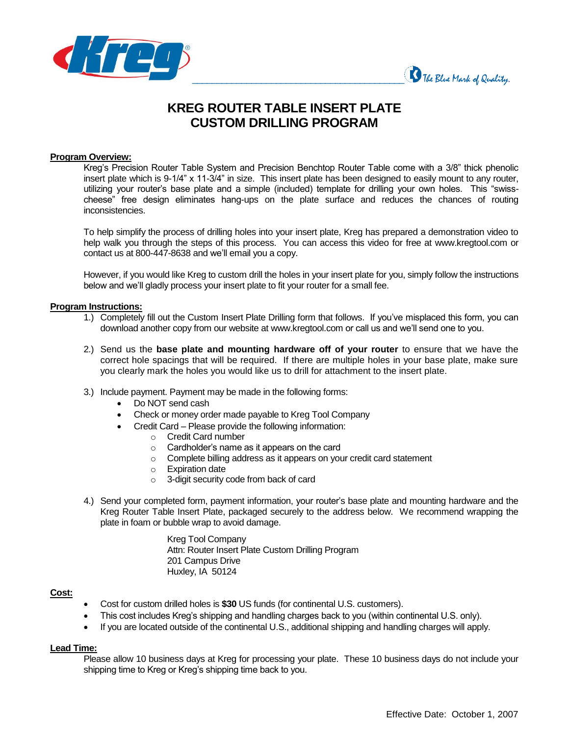



# **KREG ROUTER TABLE INSERT PLATE CUSTOM DRILLING PROGRAM**

#### **Program Overview:**

Kreg's Precision Router Table System and Precision Benchtop Router Table come with a 3/8" thick phenolic insert plate which is 9-1/4" x 11-3/4" in size. This insert plate has been designed to easily mount to any router, utilizing your router's base plate and a simple (included) template for drilling your own holes. This "swisscheese" free design eliminates hang-ups on the plate surface and reduces the chances of routing inconsistencies.

To help simplify the process of drilling holes into your insert plate, Kreg has prepared a demonstration video to help walk you through the steps of this process. You can access this video for free at www.kregtool.com or contact us at 800-447-8638 and we'll email you a copy.

However, if you would like Kreg to custom drill the holes in your insert plate for you, simply follow the instructions below and we'll gladly process your insert plate to fit your router for a small fee.

### **Program Instructions:**

- 1.) Completely fill out the Custom Insert Plate Drilling form that follows. If you've misplaced this form, you can download another copy from our website at www.kregtool.com or call us and we'll send one to you.
- 2.) Send us the **base plate and mounting hardware off of your router** to ensure that we have the correct hole spacings that will be required. If there are multiple holes in your base plate, make sure you clearly mark the holes you would like us to drill for attachment to the insert plate.
- 3.) Include payment. Payment may be made in the following forms:
	- Do NOT send cash
	- Check or money order made payable to Kreg Tool Company
	- Credit Card Please provide the following information:
		- o Credit Card number
		- o Cardholder's name as it appears on the card
		- o Complete billing address as it appears on your credit card statement
		- o Expiration date
		- o 3-digit security code from back of card
- 4.) Send your completed form, payment information, your router's base plate and mounting hardware and the Kreg Router Table Insert Plate, packaged securely to the address below. We recommend wrapping the plate in foam or bubble wrap to avoid damage.

Kreg Tool Company Attn: Router Insert Plate Custom Drilling Program 201 Campus Drive Huxley, IA 50124

#### **Cost:**

- Cost for custom drilled holes is **\$30** US funds (for continental U.S. customers).
- This cost includes Kreg's shipping and handling charges back to you (within continental U.S. only).
- If you are located outside of the continental U.S., additional shipping and handling charges will apply.

#### **Lead Time:**

Please allow 10 business days at Kreg for processing your plate. These 10 business days do not include your shipping time to Kreg or Kreg's shipping time back to you.